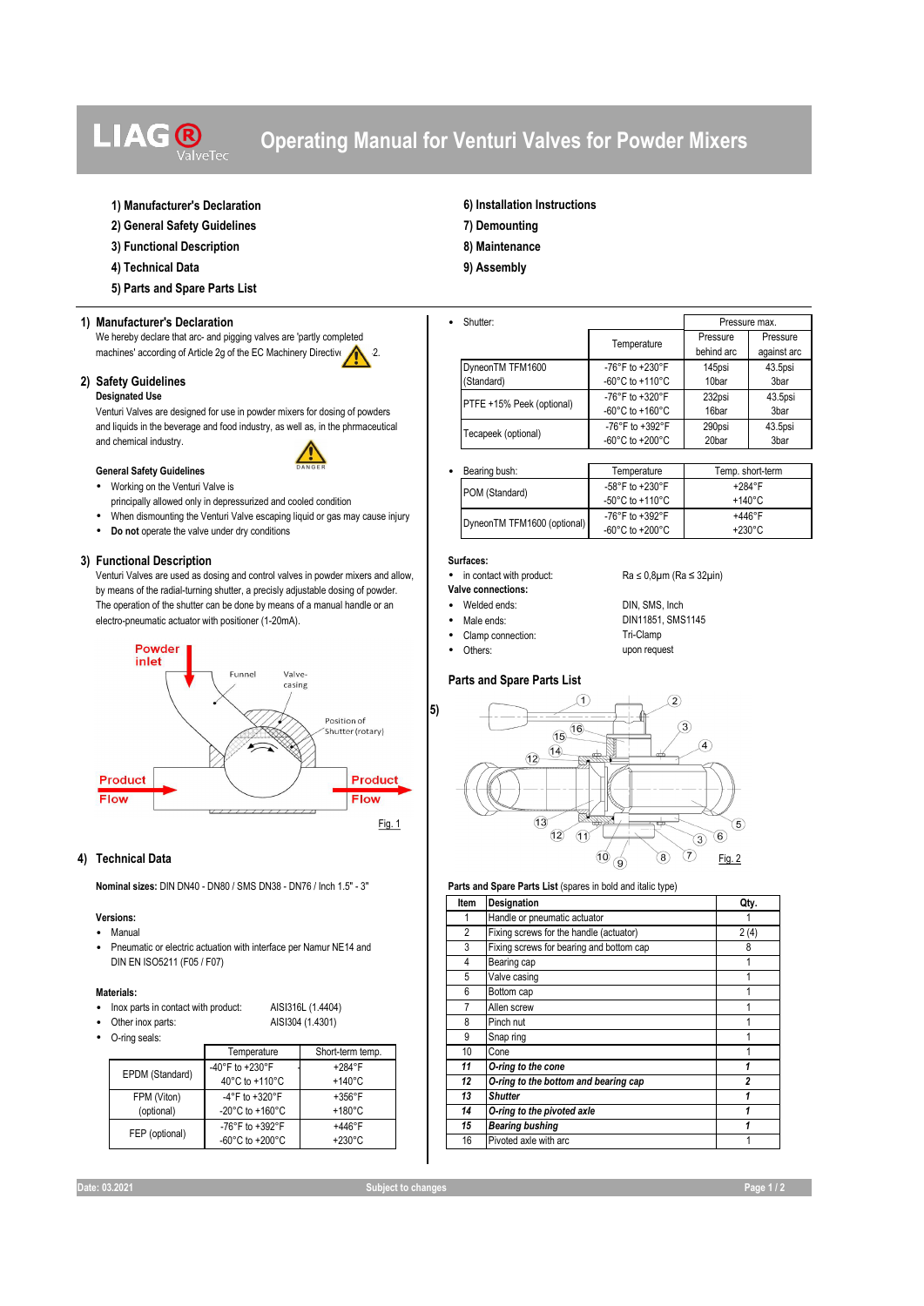# **LIAG®**

## **Operating Manual for Venturi Valves for Powder Mixers**

## **1) Manufacturer's Declaration 6) Installation Instructions**

- **2) General Safety Guidelines 7) Demounting**
- **3) Functional Description 8) Maintenance**
- **4) Technical Data 9) Assembly**
- **5) Parts and Spare Parts List**

#### **1) Manufacturer's Declaration** • Shutter:

We hereby declare that arc- and pigging valves are 'partly completed machines' according of Article 2g of the EC Machinery Directive 2

#### **2) Safety Guidelines Designated Use**

Venturi Valves are designed for use in powder mixers for dosing of powders and liquids in the beverage and food industry, as well as, in the phrmaceutical and chemical industry.

#### **General Safety Guidelines**



- Working on the Venturi Valve is principally allowed only in depressurized and cooled condition
- When dismounting the Venturi Valve escaping liquid or gas may cause injury
- **Do not** operate the valve under dry conditions

**3) Functional Description**<br>Venturi Valves are used as dosing and control valves in powder mixers and allow. • in contact with product: Venturi Valves are used as dosing and control valves in powder mixers and allow, verture in contact with product: Ra ≤ 0.8µm (Ra ≤ 32µin) by means of the radial-turning shutter, a precisly adjustable dosing of powder.<br>The operation of the shutter can be done by means of a manual handle or an **very of the students**: The operation of the shutter can be done by means of a manual handle or an **•** Welded ends: DIN, SMS, Inch endstrough the shutter can be done by means of a manual handle or an **•** Male ends: DIN11851, SMS1145 electro-pneumatic actuator with positioner (1-20mA). • Male ends: • Male ends: DIN11851, DIN11851, DIN11851, SMS



## **4) Technical Data**

**Nominal sizes:** DIN DN40 - DN80 / SMS DN38 - DN76 / Inch 1.5" - 3" **Parts and Spare Parts List** (spares in bold and italic type)

#### **Versions:**

- Manual
- Pneumatic or electric actuation with interface per Namur NE14 and DIN EN ISO5211 (F05 / F07)

#### **Materials:**

- Inox parts in contact with product: AISI316L (1.4404)
- Other inox parts: AISI304 (1.4301)  $\Omega$

| iliių seals.    |                                       |                  |  |  |  |  |
|-----------------|---------------------------------------|------------------|--|--|--|--|
|                 | Temperature                           | Short-term temp. |  |  |  |  |
| EPDM (Standard) | -40°F to +230°F                       | $+284$ °F        |  |  |  |  |
|                 | 40°C to +110°C                        | $+140^{\circ}$ C |  |  |  |  |
| FPM (Viton)     | -4°F to $+320$ °F                     | $+356^{\circ}$ F |  |  |  |  |
| (optional)      | -20 $^{\circ}$ C to +160 $^{\circ}$ C | $+180^{\circ}$ C |  |  |  |  |
| FEP (optional)  | -76°F to $+392$ °F                    | $+446^{\circ}F$  |  |  |  |  |
|                 | -60 $^{\circ}$ C to +200 $^{\circ}$ C | $+230^{\circ}$ C |  |  |  |  |

PTFE +15% Peek (optional) -76°F to +320°F -60°C to +160°C 232psi 16bar 43.5psi 3bar Tecapeek (optional)<br>  $60^\circ C$  to +392°F<br>  $60^\circ C$  to +200°F -60°C to +200°C 290psi 20bar 43.5psi 3bar DyneonTM TFM1600 (Standard) -76°F to +230°F -60°C to +110°C 145psi 10bar 43.5psi 3bar Pressure max. Temperature Pressure behind arc Pressure against arc

|  | Bearing bush:               | Temperature                           | Temp. short-term |
|--|-----------------------------|---------------------------------------|------------------|
|  | POM (Standard)              | -58°F to +230°F                       | $+284$ °F        |
|  |                             | -50 $\degree$ C to +110 $\degree$ C   | $+140^{\circ}$ C |
|  | DyneonTM TFM1600 (optional) | -76°F to +392°F                       | $+446^{\circ}F$  |
|  |                             | -60 $^{\circ}$ C to +200 $^{\circ}$ C | $+230^{\circ}$ C |

- 
- 
- 
- Clamp connection:

**5)** 

• Others: upon request

## **Parts and Spare Parts List**



| Item           | Designation                              | Qty.                    |
|----------------|------------------------------------------|-------------------------|
|                | Handle or pneumatic actuator             |                         |
| $\overline{c}$ | Fixing screws for the handle (actuator)  | 2(4)                    |
| 3              | Fixing screws for bearing and bottom cap | 8                       |
| 4              | Bearing cap                              | 1                       |
| 5              | Valve casing                             |                         |
| 6              | Bottom cap                               | 1                       |
| 7              | Allen screw                              |                         |
| 8              | Pinch nut                                | 1                       |
| 9              | Snap ring                                |                         |
| 10             | Cone                                     |                         |
| 11             | O-ring to the cone                       |                         |
| 12             | O-ring to the bottom and bearing cap     | $\overline{\mathbf{c}}$ |
| 13             | <b>Shutter</b>                           | 1                       |
| 14             | O-ring to the pivoted axle               |                         |
| 15             | <b>Bearing bushing</b>                   |                         |
| 16             | Pivoted axle with arc                    |                         |